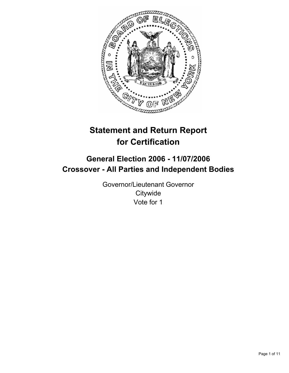

# **Statement and Return Report for Certification**

## **General Election 2006 - 11/07/2006 Crossover - All Parties and Independent Bodies**

Governor/Lieutenant Governor **Citywide** Vote for 1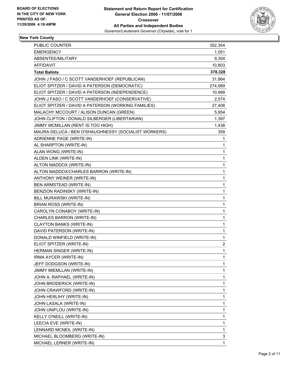

## **New York County**

| PUBLIC COUNTER                                       | 352,354                   |
|------------------------------------------------------|---------------------------|
| <b>EMERGENCY</b>                                     | 1,051                     |
| ABSENTEE/MILITARY                                    | 9,304                     |
| <b>AFFIDAVIT</b>                                     | 10,803                    |
| <b>Total Ballots</b>                                 | 378,328                   |
| JOHN J FASO / C SCOTT VANDERHOEF (REPUBLICAN)        | 31,864                    |
| ELIOT SPITZER / DAVID A PATERSON (DEMOCRATIC)        | 274,989                   |
| ELIOT SPITZER / DAVID A PATERSON (INDEPENDENCE)      | 10,999                    |
| JOHN J FASO / C SCOTT VANDERHOEF (CONSERVATIVE)      | 2,574                     |
| ELIOT SPITZER / DAVID A PATERSON (WORKING FAMILIES)  | 27,408                    |
| MALACHY MCCOURT / ALISON DUNCAN (GREEN)              | 5,954                     |
| JOHN CLIFTON / DONALD SILBERGER (LIBERTARIAN)        | 1,397                     |
| JIMMY MCMILLAN (RENT IS TOO HIGH)                    | 1,438                     |
| MAURA DELUCA / BEN O'SHAUGHNESSY (SOCIALIST WORKERS) | 359                       |
| ADRIENNE PAGE (WRITE-IN)                             | 1                         |
| AL SHARPTON (WRITE-IN)                               | 1                         |
| ALAN WONG (WRITE-IN)                                 | 1                         |
| ALDEN LINK (WRITE-IN)                                | 1                         |
| ALTON MADDOX (WRITE-IN)                              | 1                         |
| ALTON MADDOX/CHARLES BARRON (WRITE-IN)               | 1                         |
| ANTHONY WEINER (WRITE-IN)                            | 1                         |
| BEN ARMSTEAD (WRITE-IN)                              | 1                         |
| BENZION RADINSKY (WRITE-IN)                          | 1                         |
| BILL MURAWSKI (WRITE-IN)                             | 1                         |
| BRIAN ROSS (WRITE-IN)                                | 1                         |
| CAROLYN CONABOY (WRITE-IN)                           | 1                         |
| CHARLES BARRON (WRITE-IN)                            | 1                         |
| CLAYTON BANKS (WRITE-IN)                             | 1                         |
| DAVID PATERSON (WRITE-IN)                            | $\mathbf 1$               |
| DONALD WINFIELD (WRITE-IN)                           | $\mathbf{1}$              |
| ELIOT SPITZER (WRITE-IN)                             | $\overline{\mathbf{c}}$   |
| HERMAN SINGER (WRITE-IN)                             | $\mathbf{1}$              |
| IRMA AYCER (WRITE-IN)                                | 1                         |
| JEFF DODGSON (WRITE-IN)                              | 1                         |
| JIMMY MIEMLLAN (WRITE-IN)                            | 1                         |
| JOHN A. RAPHAEL (WRITE-IN)                           | 1                         |
| JOHN BRODERICK (WRITE-IN)                            | 1                         |
| JOHN CRAWFORD (WRITE-IN)                             | 1                         |
| JOHN HERLIHY (WRITE-IN)                              | 1                         |
| JOHN LASALA (WRITE-IN)                               | 1                         |
| JOHN UNIFLOU (WRITE-IN)                              | 1                         |
| KELLY O'NEILL (WRITE-IN)                             | 1                         |
| LEECIA EVE (WRITE-IN)                                | 1                         |
| LENNARD MCNEIL (WRITE-IN)                            | $\mathbf 1$               |
| MICHAEL BLOOMBERG (WRITE-IN)                         | $\ensuremath{\mathsf{3}}$ |
| MICHAEL LERNER (WRITE-IN)                            | 1                         |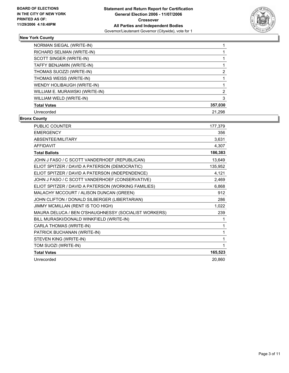

## **New York County**

| NORMAN SIEGAL (WRITE-IN)       |         |
|--------------------------------|---------|
| RICHARD SELMAN (WRITE-IN)      |         |
| SCOTT SINGER (WRITE-IN)        |         |
| TAFFY BENJAMIN (WRITE-IN)      |         |
| THOMAS SUOZZI (WRITE-IN)       |         |
| THOMAS WEISS (WRITE-IN)        |         |
| WENDY HOLIBAUGH (WRITE-IN)     |         |
| WILLIAM E. MURAWSKI (WRITE-IN) |         |
| WILLIAM WELD (WRITE-IN)        |         |
| <b>Total Votes</b>             | 357,030 |
| Unrecorded                     | 21.298  |

#### **Bronx County**

| <b>PUBLIC COUNTER</b>                                | 177,379 |
|------------------------------------------------------|---------|
| <b>EMERGENCY</b>                                     | 356     |
| ABSENTEE/MILITARY                                    | 3,631   |
| <b>AFFIDAVIT</b>                                     | 4,307   |
| <b>Total Ballots</b>                                 | 186,383 |
| JOHN J FASO / C SCOTT VANDERHOEF (REPUBLICAN)        | 13,649  |
| ELIOT SPITZER / DAVID A PATERSON (DEMOCRATIC)        | 135,952 |
| ELIOT SPITZER / DAVID A PATERSON (INDEPENDENCE)      | 4,121   |
| JOHN J FASO / C SCOTT VANDERHOEF (CONSERVATIVE)      | 2,469   |
| ELIOT SPITZER / DAVID A PATERSON (WORKING FAMILIES)  | 6,868   |
| MALACHY MCCOURT / ALISON DUNCAN (GREEN)              | 912     |
| JOHN CLIFTON / DONALD SILBERGER (LIBERTARIAN)        | 286     |
| JIMMY MCMILLAN (RENT IS TOO HIGH)                    | 1,022   |
| MAURA DELUCA / BEN O'SHAUGHNESSY (SOCIALIST WORKERS) | 239     |
| BILL MURASKI/DONALD WINKFIELD (WRITE-IN)             |         |
| CARLA THOMAS (WRITE-IN)                              |         |
| PATRICK BUCHANAN (WRITE-IN)                          | 1       |
| STEVEN KING (WRITE-IN)                               | 1       |
| TOM SUOZI (WRITE-IN)                                 | 1       |
| <b>Total Votes</b>                                   | 165,523 |
| Unrecorded                                           | 20,860  |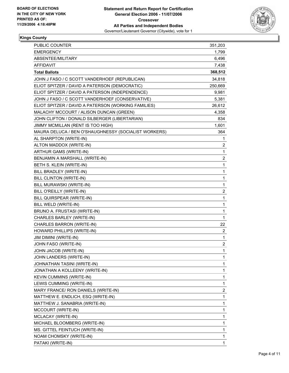

#### **Kings County**

| PUBLIC COUNTER                                       | 351,203                 |
|------------------------------------------------------|-------------------------|
| <b>EMERGENCY</b>                                     | 1,799                   |
| ABSENTEE/MILITARY                                    | 6,496                   |
| AFFIDAVIT                                            | 7,438                   |
| <b>Total Ballots</b>                                 | 368,512                 |
| JOHN J FASO / C SCOTT VANDERHOEF (REPUBLICAN)        | 34,818                  |
| ELIOT SPITZER / DAVID A PATERSON (DEMOCRATIC)        | 250,669                 |
| ELIOT SPITZER / DAVID A PATERSON (INDEPENDENCE)      | 9,981                   |
| JOHN J FASO / C SCOTT VANDERHOEF (CONSERVATIVE)      | 5,381                   |
| ELIOT SPITZER / DAVID A PATERSON (WORKING FAMILIES)  | 26,612                  |
| MALACHY MCCOURT / ALISON DUNCAN (GREEN)              | 4,358                   |
| JOHN CLIFTON / DONALD SILBERGER (LIBERTARIAN)        | 834                     |
| JIMMY MCMILLAN (RENT IS TOO HIGH)                    | 1,601                   |
| MAURA DELUCA / BEN O'SHAUGHNESSY (SOCIALIST WORKERS) | 364                     |
| AL SHARPTON (WRITE-IN)                               | 1                       |
| ALTON MADDOX (WRITE-IN)                              | 2                       |
| ARTHUR GAMS (WRITE-IN)                               | $\mathbf 1$             |
| BENJAMIN A MARSHALL (WRITE-IN)                       | $\overline{\mathbf{c}}$ |
| BETH S. KLEIN (WRITE-IN)                             | $\mathbf 1$             |
| BILL BRADLEY (WRITE-IN)                              | 1                       |
| BILL CLINTON (WRITE-IN)                              | 1                       |
| BILL MURAWSKI (WRITE-IN)                             | $\mathbf 1$             |
| BILL O'REILLY (WRITE-IN)                             | $\overline{\mathbf{c}}$ |
| BILL QUIRSPEAR (WRITE-IN)                            | 1                       |
| BILL WELD (WRITE-IN)                                 | 1                       |
| BRUNO A. FRUSTASI (WRITE-IN)                         | 1                       |
| CHARLES BARLEY (WRITE-IN)                            | 1                       |
| CHARLES BARRON (WRITE-IN)                            | 22                      |
| HOWARD PHILLIPS (WRITE-IN)                           | $\overline{\mathbf{c}}$ |
| JIM DIMINI (WRITE-IN)                                | $\mathbf 1$             |
| JOHN FASO (WRITE-IN)                                 | $\overline{\mathbf{c}}$ |
| JOHN JACOB (WRITE-IN)                                | $\mathbf{1}$            |
| JOHN LANDERS (WRITE-IN)                              | 1                       |
| JOHNATHAN TASINI (WRITE-IN)                          | 1                       |
| JONATHAN A KOLLEENY (WRITE-IN)                       | 1                       |
| <b>KEVIN CUMMINS (WRITE-IN)</b>                      | 1                       |
| LEWIS CUMMING (WRITE-IN)                             | $\mathbf{1}$            |
| MARY FRANCE/ RON DANIELS (WRITE-IN)                  | $\overline{c}$          |
| MATTHEW E. ENDLICH, ESQ (WRITE-IN)                   | 1                       |
| MATTHEW J. SANABRIA (WRITE-IN)                       | 1                       |
| MCCOURT (WRITE-IN)                                   | 1                       |
| MCLACAY (WRITE-IN)                                   | 1                       |
| MICHAEL BLOOMBERG (WRITE-IN)                         | 1                       |
| MS. GITTEL FEINTUCH (WRITE-IN)                       | 1                       |
| NOAM CHOMSKY (WRITE-IN)                              | 1                       |
| PATAKI (WRITE-IN)                                    | 1                       |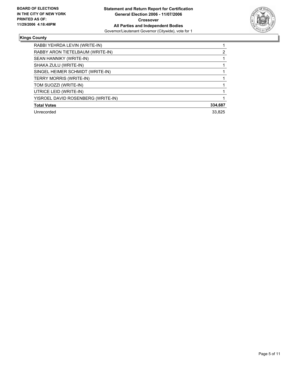

#### **Kings County**

| RABBI YEHRDA LEVIN (WRITE-IN)      |         |
|------------------------------------|---------|
| RABBY ARON TIETELBAUM (WRITE-IN)   |         |
| SEAN HANNIKY (WRITE-IN)            |         |
| SHAKA ZULU (WRITE-IN)              |         |
| SINGEL HEIMER SCHMIDT (WRITE-IN)   |         |
| <b>TERRY MORRIS (WRITE-IN)</b>     |         |
| TOM SUOZZI (WRITE-IN)              |         |
| UTRICE LEID (WRITE-IN)             |         |
| YISROEL DAVID ROSENBERG (WRITE-IN) |         |
| <b>Total Votes</b>                 | 334,687 |
| Unrecorded                         | 33.825  |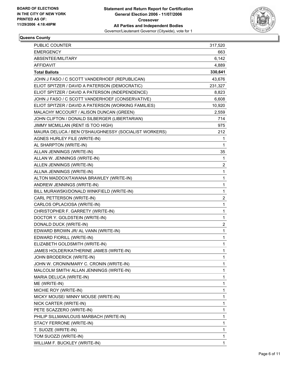

## **Queens County**

| <b>PUBLIC COUNTER</b>                                | 317,520                 |
|------------------------------------------------------|-------------------------|
| <b>EMERGENCY</b>                                     | 663                     |
| ABSENTEE/MILITARY                                    | 6,142                   |
| <b>AFFIDAVIT</b>                                     | 4,889                   |
| <b>Total Ballots</b>                                 | 330,641                 |
| JOHN J FASO / C SCOTT VANDERHOEF (REPUBLICAN)        | 43,676                  |
| ELIOT SPITZER / DAVID A PATERSON (DEMOCRATIC)        | 231,327                 |
| ELIOT SPITZER / DAVID A PATERSON (INDEPENDENCE)      | 8,823                   |
| JOHN J FASO / C SCOTT VANDERHOEF (CONSERVATIVE)      | 6,608                   |
| ELIOT SPITZER / DAVID A PATERSON (WORKING FAMILIES)  | 10,920                  |
| MALACHY MCCOURT / ALISON DUNCAN (GREEN)              | 2,559                   |
| JOHN CLIFTON / DONALD SILBERGER (LIBERTARIAN)        | 714                     |
| JIMMY MCMILLAN (RENT IS TOO HIGH)                    | 975                     |
| MAURA DELUCA / BEN O'SHAUGHNESSY (SOCIALIST WORKERS) | 212                     |
| AGNES HURLEY FILE (WRITE-IN)                         | 1                       |
| AL SHARPTON (WRITE-IN)                               | 1                       |
| ALLAN JENNINGS (WRITE-IN)                            | 35                      |
| ALLAN W. JENNINGS (WRITE-IN)                         | $\mathbf 1$             |
| ALLEN JENNINGS (WRITE-IN)                            | $\overline{\mathbf{c}}$ |
| ALLNA JENNINGS (WRITE-IN)                            | 1                       |
| ALTON MADDOX/TAWANA BRAWLEY (WRITE-IN)               | 1                       |
| ANDREW JENNINGS (WRITE-IN)                           | 1                       |
| BILL MURAWSKI/DONALD WINKFIELD (WRITE-IN)            | 1                       |
| CARL PETTERSON (WRITE-IN)                            | $\boldsymbol{2}$        |
| CARLOS OPLACIOSA (WRITE-IN)                          | 1                       |
| CHRISTOPHER F. GARRETY (WRITE-IN)                    | 1                       |
| DOCTOR Y. GOLDSTEIN (WRITE-IN)                       | $\mathbf 1$             |
| DONALD DUCK (WRITE-IN)                               | $\overline{\mathbf{c}}$ |
| EDWARD BROWN JR/ AL VANN (WRITE-IN)                  | 1                       |
| EDWARD FIORILL (WRITE-IN)                            | 1                       |
| ELIZABETH GOLDSMITH (WRITE-IN)                       | 1                       |
| JAMES HOLDER/KATHERINE JAMES (WRITE-IN)              | 1                       |
| JOHN BRODERICK (WRITE-IN)                            | 1                       |
| JOHN W. CRONIN/MARY C. CRONIN (WRITE-IN)             | 1                       |
| MALCOLM SMITH/ ALLAN JENNINGS (WRITE-IN)             | 1                       |
| MARIA DELUCA (WRITE-IN)                              | 1                       |
| ME (WRITE-IN)                                        | 1                       |
| MICHIE ROY (WRITE-IN)                                | 1                       |
| MICKY MOUSE/ MINNY MOUSE (WRITE-IN)                  | 1                       |
| NICK CARTER (WRITE-IN)                               | 1                       |
| PETE SCAZZERO (WRITE-IN)                             | 1                       |
| PHILIP SILLMAN/LOUIS MARBACH (WRITE-IN)              | 1                       |
| STACY FERRONE (WRITE-IN)                             | 1                       |
| T. SUOZE (WRITE-IN)                                  | 1                       |
| TOM SUOZZI (WRITE-IN)                                | 1                       |
| WILLIAM F. BUCKLEY (WRITE-IN)                        | 1                       |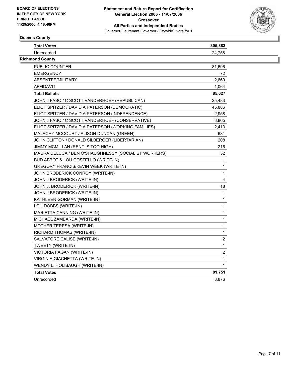

## **Queens County**

| 24.758<br>81,696<br>72<br>2,669<br>1,064<br>85,627<br>25,483<br>45,886<br>2,958<br>3,865<br>2,413<br>631<br>208<br>216<br>52<br>1<br>1<br>1<br>4<br>18<br>1<br>1<br>1<br>1<br>1<br>1<br>1<br>$\boldsymbol{2}$<br>$\mathbf{1}$<br>$\overline{c}$<br>1<br>1<br>81,751<br>3,876 | <b>Total Votes</b>                                   | 305,883 |
|------------------------------------------------------------------------------------------------------------------------------------------------------------------------------------------------------------------------------------------------------------------------------|------------------------------------------------------|---------|
|                                                                                                                                                                                                                                                                              | Unrecorded                                           |         |
|                                                                                                                                                                                                                                                                              | Richmond County                                      |         |
|                                                                                                                                                                                                                                                                              | <b>PUBLIC COUNTER</b>                                |         |
|                                                                                                                                                                                                                                                                              | <b>EMERGENCY</b>                                     |         |
|                                                                                                                                                                                                                                                                              | ABSENTEE/MILITARY                                    |         |
|                                                                                                                                                                                                                                                                              | AFFIDAVIT                                            |         |
|                                                                                                                                                                                                                                                                              | <b>Total Ballots</b>                                 |         |
|                                                                                                                                                                                                                                                                              | JOHN J FASO / C SCOTT VANDERHOEF (REPUBLICAN)        |         |
|                                                                                                                                                                                                                                                                              | ELIOT SPITZER / DAVID A PATERSON (DEMOCRATIC)        |         |
|                                                                                                                                                                                                                                                                              | ELIOT SPITZER / DAVID A PATERSON (INDEPENDENCE)      |         |
|                                                                                                                                                                                                                                                                              | JOHN J FASO / C SCOTT VANDERHOEF (CONSERVATIVE)      |         |
|                                                                                                                                                                                                                                                                              | ELIOT SPITZER / DAVID A PATERSON (WORKING FAMILIES)  |         |
|                                                                                                                                                                                                                                                                              | MALACHY MCCOURT / ALISON DUNCAN (GREEN)              |         |
|                                                                                                                                                                                                                                                                              | JOHN CLIFTON / DONALD SILBERGER (LIBERTARIAN)        |         |
|                                                                                                                                                                                                                                                                              | JIMMY MCMILLAN (RENT IS TOO HIGH)                    |         |
|                                                                                                                                                                                                                                                                              | MAURA DELUCA / BEN O'SHAUGHNESSY (SOCIALIST WORKERS) |         |
|                                                                                                                                                                                                                                                                              | BUD ABBOT & LOU COSTELLO (WRITE-IN)                  |         |
|                                                                                                                                                                                                                                                                              | GREGORY FRANCIS/KEVIN WEEK (WRITE-IN)                |         |
|                                                                                                                                                                                                                                                                              | JOHN BRODERICK CONROY (WRITE-IN)                     |         |
|                                                                                                                                                                                                                                                                              | JOHN J BRODERICK (WRITE-IN)                          |         |
|                                                                                                                                                                                                                                                                              | JOHN J. BRODERICK (WRITE-IN)                         |         |
|                                                                                                                                                                                                                                                                              | JOHN J.BRODERICK (WRITE-IN)                          |         |
|                                                                                                                                                                                                                                                                              | KATHLEEN GORMAN (WRITE-IN)                           |         |
|                                                                                                                                                                                                                                                                              | LOU DOBBS (WRITE-IN)                                 |         |
|                                                                                                                                                                                                                                                                              | MARIETTA CANNING (WRITE-IN)                          |         |
|                                                                                                                                                                                                                                                                              | MICHAEL ZAMBARDA (WRITE-IN)                          |         |
|                                                                                                                                                                                                                                                                              | MOTHER TERESA (WRITE-IN)                             |         |
|                                                                                                                                                                                                                                                                              | RICHARD THOMAS (WRITE-IN)                            |         |
|                                                                                                                                                                                                                                                                              | SALVATORE CALISE (WRITE-IN)                          |         |
|                                                                                                                                                                                                                                                                              | TWEETY (WRITE-IN)                                    |         |
|                                                                                                                                                                                                                                                                              | VICTORIA FAGAN (WRITE-IN)                            |         |
|                                                                                                                                                                                                                                                                              | VIRGINIA GIACHETTA (WRITE-IN)                        |         |
|                                                                                                                                                                                                                                                                              | WENDY L. HOLIBAUGH (WRITE-IN)                        |         |
|                                                                                                                                                                                                                                                                              | <b>Total Votes</b>                                   |         |
|                                                                                                                                                                                                                                                                              | Unrecorded                                           |         |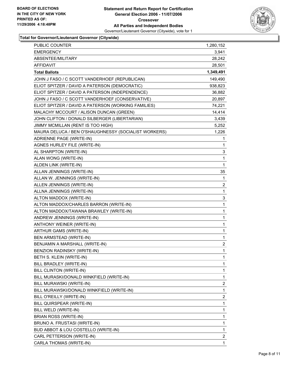

| <b>EMERGENCY</b><br>ABSENTEE/MILITARY<br>AFFIDAVIT<br><b>Total Ballots</b><br>JOHN J FASO / C SCOTT VANDERHOEF (REPUBLICAN)<br>ELIOT SPITZER / DAVID A PATERSON (DEMOCRATIC)<br>ELIOT SPITZER / DAVID A PATERSON (INDEPENDENCE)<br>JOHN J FASO / C SCOTT VANDERHOEF (CONSERVATIVE)<br>ELIOT SPITZER / DAVID A PATERSON (WORKING FAMILIES)<br>MALACHY MCCOURT / ALISON DUNCAN (GREEN)<br>JOHN CLIFTON / DONALD SILBERGER (LIBERTARIAN)<br>JIMMY MCMILLAN (RENT IS TOO HIGH)<br>MAURA DELUCA / BEN O'SHAUGHNESSY (SOCIALIST WORKERS)<br>ADRIENNE PAGE (WRITE-IN)<br>AGNES HURLEY FILE (WRITE-IN)<br>AL SHARPTON (WRITE-IN)<br>ALAN WONG (WRITE-IN)<br>ALDEN LINK (WRITE-IN)<br>ALLAN JENNINGS (WRITE-IN)<br>ALLAN W. JENNINGS (WRITE-IN)<br>ALLEN JENNINGS (WRITE-IN)<br>ALLNA JENNINGS (WRITE-IN)<br>ALTON MADDOX (WRITE-IN)<br>ALTON MADDOX/CHARLES BARRON (WRITE-IN)<br>ALTON MADDOX/TAWANA BRAWLEY (WRITE-IN)<br>ANDREW JENNINGS (WRITE-IN)<br>ANTHONY WEINER (WRITE-IN)<br>ARTHUR GAMS (WRITE-IN)<br>BEN ARMSTEAD (WRITE-IN)<br>BENJAMIN A MARSHALL (WRITE-IN)<br>BENZION RADINSKY (WRITE-IN)<br>BETH S. KLEIN (WRITE-IN)<br>BILL BRADLEY (WRITE-IN)<br>BILL CLINTON (WRITE-IN)<br>BILL MURASKI/DONALD WINKFIELD (WRITE-IN)<br>BILL MURAWSKI (WRITE-IN)<br>BILL MURAWSKI/DONALD WINKFIELD (WRITE-IN)<br>BILL O'REILLY (WRITE-IN)<br>BILL QUIRSPEAR (WRITE-IN)<br>BILL WELD (WRITE-IN)<br>BRIAN ROSS (WRITE-IN)<br>BRUNO A. FRUSTASI (WRITE-IN)<br>BUD ABBOT & LOU COSTELLO (WRITE-IN)<br>CARL PETTERSON (WRITE-IN) | PUBLIC COUNTER          | 1,280,152               |
|-----------------------------------------------------------------------------------------------------------------------------------------------------------------------------------------------------------------------------------------------------------------------------------------------------------------------------------------------------------------------------------------------------------------------------------------------------------------------------------------------------------------------------------------------------------------------------------------------------------------------------------------------------------------------------------------------------------------------------------------------------------------------------------------------------------------------------------------------------------------------------------------------------------------------------------------------------------------------------------------------------------------------------------------------------------------------------------------------------------------------------------------------------------------------------------------------------------------------------------------------------------------------------------------------------------------------------------------------------------------------------------------------------------------------------------------------------------------------------------------------------------------------|-------------------------|-------------------------|
|                                                                                                                                                                                                                                                                                                                                                                                                                                                                                                                                                                                                                                                                                                                                                                                                                                                                                                                                                                                                                                                                                                                                                                                                                                                                                                                                                                                                                                                                                                                       |                         | 3,941                   |
|                                                                                                                                                                                                                                                                                                                                                                                                                                                                                                                                                                                                                                                                                                                                                                                                                                                                                                                                                                                                                                                                                                                                                                                                                                                                                                                                                                                                                                                                                                                       |                         | 28,242                  |
|                                                                                                                                                                                                                                                                                                                                                                                                                                                                                                                                                                                                                                                                                                                                                                                                                                                                                                                                                                                                                                                                                                                                                                                                                                                                                                                                                                                                                                                                                                                       |                         | 28,501                  |
|                                                                                                                                                                                                                                                                                                                                                                                                                                                                                                                                                                                                                                                                                                                                                                                                                                                                                                                                                                                                                                                                                                                                                                                                                                                                                                                                                                                                                                                                                                                       |                         | 1,349,491               |
|                                                                                                                                                                                                                                                                                                                                                                                                                                                                                                                                                                                                                                                                                                                                                                                                                                                                                                                                                                                                                                                                                                                                                                                                                                                                                                                                                                                                                                                                                                                       |                         | 149,490                 |
|                                                                                                                                                                                                                                                                                                                                                                                                                                                                                                                                                                                                                                                                                                                                                                                                                                                                                                                                                                                                                                                                                                                                                                                                                                                                                                                                                                                                                                                                                                                       |                         | 938,823                 |
|                                                                                                                                                                                                                                                                                                                                                                                                                                                                                                                                                                                                                                                                                                                                                                                                                                                                                                                                                                                                                                                                                                                                                                                                                                                                                                                                                                                                                                                                                                                       |                         | 36,882                  |
|                                                                                                                                                                                                                                                                                                                                                                                                                                                                                                                                                                                                                                                                                                                                                                                                                                                                                                                                                                                                                                                                                                                                                                                                                                                                                                                                                                                                                                                                                                                       |                         | 20,897                  |
|                                                                                                                                                                                                                                                                                                                                                                                                                                                                                                                                                                                                                                                                                                                                                                                                                                                                                                                                                                                                                                                                                                                                                                                                                                                                                                                                                                                                                                                                                                                       |                         | 74,221                  |
|                                                                                                                                                                                                                                                                                                                                                                                                                                                                                                                                                                                                                                                                                                                                                                                                                                                                                                                                                                                                                                                                                                                                                                                                                                                                                                                                                                                                                                                                                                                       |                         | 14,414                  |
|                                                                                                                                                                                                                                                                                                                                                                                                                                                                                                                                                                                                                                                                                                                                                                                                                                                                                                                                                                                                                                                                                                                                                                                                                                                                                                                                                                                                                                                                                                                       |                         | 3,439                   |
|                                                                                                                                                                                                                                                                                                                                                                                                                                                                                                                                                                                                                                                                                                                                                                                                                                                                                                                                                                                                                                                                                                                                                                                                                                                                                                                                                                                                                                                                                                                       |                         | 5,252                   |
|                                                                                                                                                                                                                                                                                                                                                                                                                                                                                                                                                                                                                                                                                                                                                                                                                                                                                                                                                                                                                                                                                                                                                                                                                                                                                                                                                                                                                                                                                                                       |                         | 1,226                   |
|                                                                                                                                                                                                                                                                                                                                                                                                                                                                                                                                                                                                                                                                                                                                                                                                                                                                                                                                                                                                                                                                                                                                                                                                                                                                                                                                                                                                                                                                                                                       |                         | 1                       |
|                                                                                                                                                                                                                                                                                                                                                                                                                                                                                                                                                                                                                                                                                                                                                                                                                                                                                                                                                                                                                                                                                                                                                                                                                                                                                                                                                                                                                                                                                                                       |                         | 1                       |
|                                                                                                                                                                                                                                                                                                                                                                                                                                                                                                                                                                                                                                                                                                                                                                                                                                                                                                                                                                                                                                                                                                                                                                                                                                                                                                                                                                                                                                                                                                                       |                         | 3                       |
|                                                                                                                                                                                                                                                                                                                                                                                                                                                                                                                                                                                                                                                                                                                                                                                                                                                                                                                                                                                                                                                                                                                                                                                                                                                                                                                                                                                                                                                                                                                       |                         | 1                       |
|                                                                                                                                                                                                                                                                                                                                                                                                                                                                                                                                                                                                                                                                                                                                                                                                                                                                                                                                                                                                                                                                                                                                                                                                                                                                                                                                                                                                                                                                                                                       |                         | $\mathbf{1}$            |
|                                                                                                                                                                                                                                                                                                                                                                                                                                                                                                                                                                                                                                                                                                                                                                                                                                                                                                                                                                                                                                                                                                                                                                                                                                                                                                                                                                                                                                                                                                                       |                         | 35                      |
|                                                                                                                                                                                                                                                                                                                                                                                                                                                                                                                                                                                                                                                                                                                                                                                                                                                                                                                                                                                                                                                                                                                                                                                                                                                                                                                                                                                                                                                                                                                       |                         | 1                       |
|                                                                                                                                                                                                                                                                                                                                                                                                                                                                                                                                                                                                                                                                                                                                                                                                                                                                                                                                                                                                                                                                                                                                                                                                                                                                                                                                                                                                                                                                                                                       |                         | $\overline{c}$          |
|                                                                                                                                                                                                                                                                                                                                                                                                                                                                                                                                                                                                                                                                                                                                                                                                                                                                                                                                                                                                                                                                                                                                                                                                                                                                                                                                                                                                                                                                                                                       |                         | $\mathbf 1$             |
|                                                                                                                                                                                                                                                                                                                                                                                                                                                                                                                                                                                                                                                                                                                                                                                                                                                                                                                                                                                                                                                                                                                                                                                                                                                                                                                                                                                                                                                                                                                       |                         | 3                       |
|                                                                                                                                                                                                                                                                                                                                                                                                                                                                                                                                                                                                                                                                                                                                                                                                                                                                                                                                                                                                                                                                                                                                                                                                                                                                                                                                                                                                                                                                                                                       |                         | 1                       |
|                                                                                                                                                                                                                                                                                                                                                                                                                                                                                                                                                                                                                                                                                                                                                                                                                                                                                                                                                                                                                                                                                                                                                                                                                                                                                                                                                                                                                                                                                                                       |                         | 1                       |
|                                                                                                                                                                                                                                                                                                                                                                                                                                                                                                                                                                                                                                                                                                                                                                                                                                                                                                                                                                                                                                                                                                                                                                                                                                                                                                                                                                                                                                                                                                                       |                         | 1                       |
|                                                                                                                                                                                                                                                                                                                                                                                                                                                                                                                                                                                                                                                                                                                                                                                                                                                                                                                                                                                                                                                                                                                                                                                                                                                                                                                                                                                                                                                                                                                       |                         | 1                       |
|                                                                                                                                                                                                                                                                                                                                                                                                                                                                                                                                                                                                                                                                                                                                                                                                                                                                                                                                                                                                                                                                                                                                                                                                                                                                                                                                                                                                                                                                                                                       |                         | 1                       |
|                                                                                                                                                                                                                                                                                                                                                                                                                                                                                                                                                                                                                                                                                                                                                                                                                                                                                                                                                                                                                                                                                                                                                                                                                                                                                                                                                                                                                                                                                                                       |                         | 1                       |
|                                                                                                                                                                                                                                                                                                                                                                                                                                                                                                                                                                                                                                                                                                                                                                                                                                                                                                                                                                                                                                                                                                                                                                                                                                                                                                                                                                                                                                                                                                                       |                         | $\overline{\mathbf{c}}$ |
|                                                                                                                                                                                                                                                                                                                                                                                                                                                                                                                                                                                                                                                                                                                                                                                                                                                                                                                                                                                                                                                                                                                                                                                                                                                                                                                                                                                                                                                                                                                       |                         | 1                       |
|                                                                                                                                                                                                                                                                                                                                                                                                                                                                                                                                                                                                                                                                                                                                                                                                                                                                                                                                                                                                                                                                                                                                                                                                                                                                                                                                                                                                                                                                                                                       |                         | 1                       |
|                                                                                                                                                                                                                                                                                                                                                                                                                                                                                                                                                                                                                                                                                                                                                                                                                                                                                                                                                                                                                                                                                                                                                                                                                                                                                                                                                                                                                                                                                                                       |                         | 1                       |
|                                                                                                                                                                                                                                                                                                                                                                                                                                                                                                                                                                                                                                                                                                                                                                                                                                                                                                                                                                                                                                                                                                                                                                                                                                                                                                                                                                                                                                                                                                                       |                         | 1                       |
|                                                                                                                                                                                                                                                                                                                                                                                                                                                                                                                                                                                                                                                                                                                                                                                                                                                                                                                                                                                                                                                                                                                                                                                                                                                                                                                                                                                                                                                                                                                       |                         | 1                       |
|                                                                                                                                                                                                                                                                                                                                                                                                                                                                                                                                                                                                                                                                                                                                                                                                                                                                                                                                                                                                                                                                                                                                                                                                                                                                                                                                                                                                                                                                                                                       |                         | $\overline{c}$          |
|                                                                                                                                                                                                                                                                                                                                                                                                                                                                                                                                                                                                                                                                                                                                                                                                                                                                                                                                                                                                                                                                                                                                                                                                                                                                                                                                                                                                                                                                                                                       |                         | 1                       |
|                                                                                                                                                                                                                                                                                                                                                                                                                                                                                                                                                                                                                                                                                                                                                                                                                                                                                                                                                                                                                                                                                                                                                                                                                                                                                                                                                                                                                                                                                                                       |                         | $\overline{\mathbf{c}}$ |
|                                                                                                                                                                                                                                                                                                                                                                                                                                                                                                                                                                                                                                                                                                                                                                                                                                                                                                                                                                                                                                                                                                                                                                                                                                                                                                                                                                                                                                                                                                                       |                         | 1                       |
|                                                                                                                                                                                                                                                                                                                                                                                                                                                                                                                                                                                                                                                                                                                                                                                                                                                                                                                                                                                                                                                                                                                                                                                                                                                                                                                                                                                                                                                                                                                       |                         | 1                       |
|                                                                                                                                                                                                                                                                                                                                                                                                                                                                                                                                                                                                                                                                                                                                                                                                                                                                                                                                                                                                                                                                                                                                                                                                                                                                                                                                                                                                                                                                                                                       |                         | 1                       |
|                                                                                                                                                                                                                                                                                                                                                                                                                                                                                                                                                                                                                                                                                                                                                                                                                                                                                                                                                                                                                                                                                                                                                                                                                                                                                                                                                                                                                                                                                                                       |                         | 1                       |
|                                                                                                                                                                                                                                                                                                                                                                                                                                                                                                                                                                                                                                                                                                                                                                                                                                                                                                                                                                                                                                                                                                                                                                                                                                                                                                                                                                                                                                                                                                                       |                         | 1                       |
|                                                                                                                                                                                                                                                                                                                                                                                                                                                                                                                                                                                                                                                                                                                                                                                                                                                                                                                                                                                                                                                                                                                                                                                                                                                                                                                                                                                                                                                                                                                       |                         | $\overline{\mathbf{c}}$ |
|                                                                                                                                                                                                                                                                                                                                                                                                                                                                                                                                                                                                                                                                                                                                                                                                                                                                                                                                                                                                                                                                                                                                                                                                                                                                                                                                                                                                                                                                                                                       | CARLA THOMAS (WRITE-IN) | 1                       |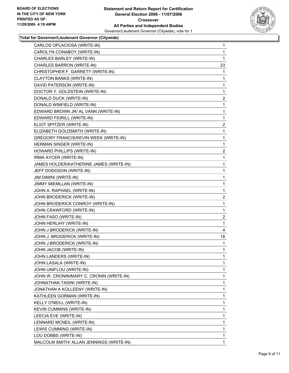

| CARLOS OPLACIOSA (WRITE-IN)              | 1              |
|------------------------------------------|----------------|
| CAROLYN CONABOY (WRITE-IN)               | 1              |
| CHARLES BARLEY (WRITE-IN)                | 1              |
| CHARLES BARRON (WRITE-IN)                | 23             |
| CHRISTOPHER F. GARRETY (WRITE-IN)        | 1              |
| CLAYTON BANKS (WRITE-IN)                 | 1              |
| DAVID PATERSON (WRITE-IN)                | 1              |
| DOCTOR Y. GOLDSTEIN (WRITE-IN)           | 1              |
| DONALD DUCK (WRITE-IN)                   | 2              |
| DONALD WINFIELD (WRITE-IN)               | 1              |
| EDWARD BROWN JR/ AL VANN (WRITE-IN)      | 1              |
| EDWARD FIORILL (WRITE-IN)                | 1              |
| ELIOT SPITZER (WRITE-IN)                 | 2              |
| ELIZABETH GOLDSMITH (WRITE-IN)           | 1              |
| GREGORY FRANCIS/KEVIN WEEK (WRITE-IN)    | 1              |
| HERMAN SINGER (WRITE-IN)                 | 1              |
| HOWARD PHILLIPS (WRITE-IN)               | $\overline{2}$ |
| IRMA AYCER (WRITE-IN)                    | 1              |
| JAMES HOLDER/KATHERINE JAMES (WRITE-IN)  | 1              |
| JEFF DODGSON (WRITE-IN)                  | 1              |
| JIM DIMINI (WRITE-IN)                    | 1              |
| JIMMY MIEMLLAN (WRITE-IN)                | 1              |
| JOHN A. RAPHAEL (WRITE-IN)               | 1              |
| JOHN BRODERICK (WRITE-IN)                | 2              |
| JOHN BRODERICK CONROY (WRITE-IN)         | 1              |
| JOHN CRAWFORD (WRITE-IN)                 | 1              |
| JOHN FASO (WRITE-IN)                     | $\overline{c}$ |
| JOHN HERLIHY (WRITE-IN)                  | 1              |
| JOHN J BRODERICK (WRITE-IN)              | 4              |
| JOHN J. BRODERICK (WRITE-IN)             | 18             |
| JOHN J.BRODERICK (WRITE-IN)              | 1              |
| JOHN JACOB (WRITE-IN)                    | 1              |
| JOHN LANDERS (WRITE-IN)                  | 1              |
| JOHN LASALA (WRITE-IN)                   | 1              |
| JOHN UNIFLOU (WRITE-IN)                  | 1              |
| JOHN W. CRONIN/MARY C. CRONIN (WRITE-IN) | 1              |
| JOHNATHAN TASINI (WRITE-IN)              | 1              |
| JONATHAN A KOLLEENY (WRITE-IN)           | 1              |
| KATHLEEN GORMAN (WRITE-IN)               | 1              |
| KELLY O'NEILL (WRITE-IN)                 | 1              |
| KEVIN CUMMINS (WRITE-IN)                 | 1              |
| LEECIA EVE (WRITE-IN)                    | 1              |
| LENNARD MCNEIL (WRITE-IN)                | 1              |
| LEWIS CUMMING (WRITE-IN)                 | 1              |
| LOU DOBBS (WRITE-IN)                     | 1              |
| MALCOLM SMITH/ ALLAN JENNINGS (WRITE-IN) | 1              |
|                                          |                |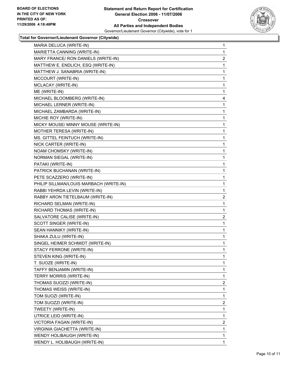

| MARIA DELUCA (WRITE-IN)                 | 1 |
|-----------------------------------------|---|
| MARIETTA CANNING (WRITE-IN)             | 1 |
| MARY FRANCE/ RON DANIELS (WRITE-IN)     | 2 |
| MATTHEW E. ENDLICH, ESQ (WRITE-IN)      | 1 |
| MATTHEW J. SANABRIA (WRITE-IN)          | 1 |
| MCCOURT (WRITE-IN)                      | 1 |
| MCLACAY (WRITE-IN)                      | 1 |
| ME (WRITE-IN)                           | 1 |
| MICHAEL BLOOMBERG (WRITE-IN)            | 4 |
| MICHAEL LERNER (WRITE-IN)               | 1 |
| MICHAEL ZAMBARDA (WRITE-IN)             | 1 |
| MICHIE ROY (WRITE-IN)                   | 1 |
| MICKY MOUSE/ MINNY MOUSE (WRITE-IN)     | 1 |
| MOTHER TERESA (WRITE-IN)                | 1 |
| MS. GITTEL FEINTUCH (WRITE-IN)          | 1 |
| NICK CARTER (WRITE-IN)                  | 1 |
| NOAM CHOMSKY (WRITE-IN)                 | 1 |
| NORMAN SIEGAL (WRITE-IN)                | 1 |
| PATAKI (WRITE-IN)                       | 1 |
| PATRICK BUCHANAN (WRITE-IN)             | 1 |
| PETE SCAZZERO (WRITE-IN)                | 1 |
| PHILIP SILLMAN/LOUIS MARBACH (WRITE-IN) | 1 |
| RABBI YEHRDA LEVIN (WRITE-IN)           | 1 |
| RABBY ARON TIETELBAUM (WRITE-IN)        | 2 |
| RICHARD SELMAN (WRITE-IN)               | 1 |
| RICHARD THOMAS (WRITE-IN)               | 1 |
| SALVATORE CALISE (WRITE-IN)             | 2 |
| SCOTT SINGER (WRITE-IN)                 | 1 |
| SEAN HANNIKY (WRITE-IN)                 | 1 |
| SHAKA ZULU (WRITE-IN)                   | 1 |
| SINGEL HEIMER SCHMIDT (WRITE-IN)        | 1 |
| STACY FERRONE (WRITE-IN)                | 1 |
| STEVEN KING (WRITE-IN)                  | 1 |
| T. SUOZE (WRITE-IN)                     | 1 |
| TAFFY BENJAMIN (WRITE-IN)               | 1 |
| TERRY MORRIS (WRITE-IN)                 | 1 |
| THOMAS SUOZZI (WRITE-IN)                | 2 |
| THOMAS WEISS (WRITE-IN)                 | 1 |
| TOM SUOZI (WRITE-IN)                    | 1 |
| TOM SUOZZI (WRITE-IN)                   | 2 |
| TWEETY (WRITE-IN)                       | 1 |
| UTRICE LEID (WRITE-IN)                  | 1 |
| VICTORIA FAGAN (WRITE-IN)               | 2 |
| VIRGINIA GIACHETTA (WRITE-IN)           | 1 |
| WENDY HOLIBAUGH (WRITE-IN)              | 1 |
| WENDY L. HOLIBAUGH (WRITE-IN)           | 1 |